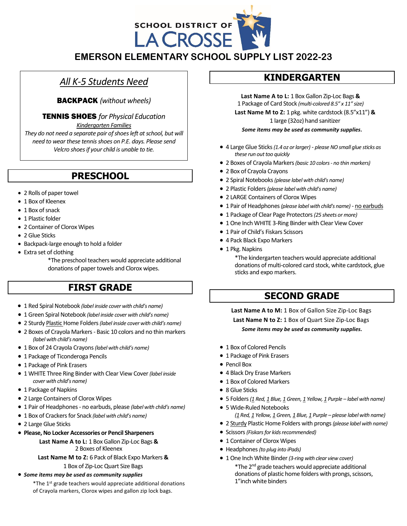

**EMERSON ELEMENTARY SCHOOL SUPPLY LIST 2022-23**

# *All K-5 Students Need*

BACKPACK *(without wheels)*

TENNIS SHOES *for Physical Education*

*Kindergarten Families*

*They do not need a separate pair of shoes left at school, but will need to wear these tennis shoes on P.E. days. Please send Velcro shoes if your child is unable to tie.*

# **PRESCHOOL**

- 2 Rolls of paper towel
- 1 Box of Kleenex
- 1 Box of snack
- 1 Plastic folder
- 2 Container of Clorox Wipes
- 2 Glue Sticks
- Backpack-large enough to hold a folder
- Extra set of clothing
	- \*The preschool teachers would appreciate additional donations of paper towels and Clorox wipes.

# **FIRST GRADE**

- 1 Red Spiral Notebook *(label inside cover with child's name)*
- 1 Green Spiral Notebook *(label inside cover with child's name)*
- 2 Sturdy Plastic Home Folders *(label inside cover with child's name)*
- 2 Boxes of Crayola Markers Basic 10 colors and no thin markers *(label with child's name)*
- 1 Box of 24 Crayola Crayons *(label with child's name)*
- 1 Package of Ticonderoga Pencils
- 1 Package of Pink Erasers
- 1 WHITE Three Ring Binder with Clear View Cover *(label inside cover with child's name)*
- 1 Package of Napkins
- 2 Large Containers of Clorox Wipes
- 1 Pair of Headphones no earbuds, please *(label with child's name)*
- 1 Box of Crackers for Snack *(label with child's name)*
- 2 Large Glue Sticks
- **Please, No Locker Accessories or Pencil Sharpeners**

**Last Name A to L:** 1 Box Gallon Zip-Loc Bags **&** 2 Boxes of Kleenex

**Last Name M to Z:** 6 Pack of Black Expo Markers **&**

### 1 Box of Zip-Loc Quart Size Bags • *Some items may be used as community supplies*

\*The 1 st grade teachers would appreciate additional donations of Crayola markers, Clorox wipes and gallon zip lock bags.

## **KINDERGARTEN**

**Last Name A to L:** 1 Box Gallon Zip-Loc Bags **&** 1 Package of Card Stock *(multi-colored 8.5" x 11" size)*

**Last Name M to Z:** 1 pkg. white cardstock (8.5"x11") **&** 1 large (32oz) hand sanitizer

*Some items may be used as community supplies.*

- 4 Large Glue Sticks *(1.4 oz or larger) please NO small glue sticks as these run out too quickly*
- 2 Boxes of Crayola Markers *(basic 10 colors - no thin markers)*
- 2 Box of Crayola Crayons
- 2 Spiral Notebooks *(please label with child's name)*
- 2 Plastic Folders *(please label with child's name)*
- 2 LARGE Containers of Clorox Wipes
- 1 Pair of Headphones *(please label with child's name)* no earbuds
- 1 Package of Clear Page Protectors *(25 sheets or more)*
- 1 One Inch WHITE 3-Ring Binder with Clear View Cover
- 1 Pair of Child's Fiskars Scissors
- 4 Pack Black Expo Markers
- 1 Pkg. Napkins

\*The kindergarten teachers would appreciate additional donations of multi-colored card stock, white cardstock, glue sticks and expo markers.

# **SECOND GRADE**

**Last Name A to M:** 1 Box of Gallon Size Zip-Loc Bags **Last Name N to Z:** 1 Box of Quart Size Zip-Loc Bags *Some items may be used as community supplies.*

- 1 Box of Colored Pencils
- 1 Package of Pink Erasers
- Pencil Box
- 4 Black Dry Erase Markers
- 1 Box of Colored Markers
- 8 Glue Sticks
- 5 Folders*(1 Red, 1 Blue, 1 Green, 1 Yellow, 1 Purple – label with name)*
- 5 Wide-Ruled Notebooks *(1 Red, 1 Yellow, 1 Green, 1 Blue, 1 Purple – please label with name)*
- 2 Sturdy Plastic Home Folders with prongs*(please label with name)*
- Scissors *(Fiskars for kidsrecommended)*
- 1 Container of Clorox Wipes
- Headphones *(to plug into iPads)*
- 1 One Inch White Binder *(3-ring with clear view cover)* \*The 2 nd grade teachers would appreciate additional donations of plastic home folders with prongs, scissors, 1"inch white binders